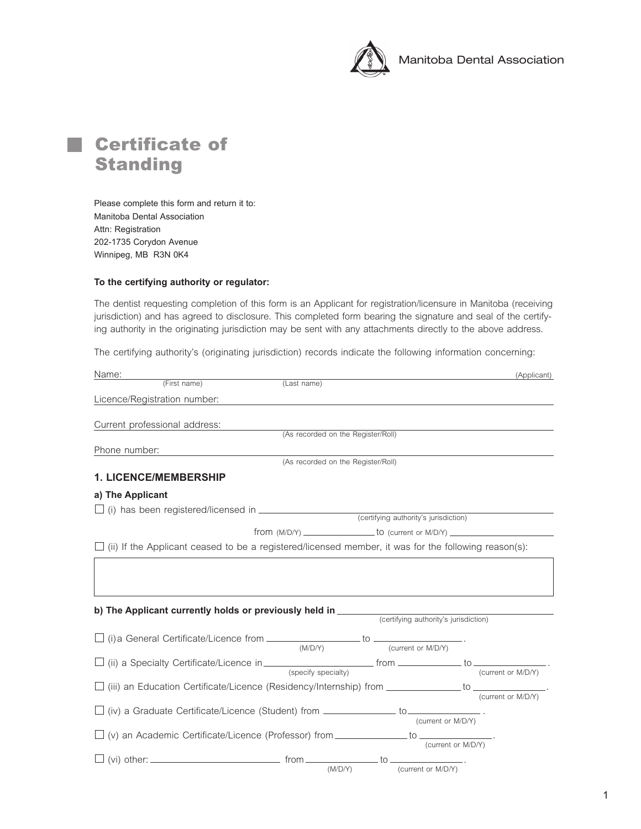



Please complete this form and return it to: Manitoba Dental Association Attn: Registration 202-1735 Corydon Avenue Winnipeg, MB R3N 0K4

## **To the certifying authority or regulator:**

*The dentist requesting completion of this form is an Applicant for registration/licensure in Manitoba (receiving jurisdiction) and has agreed to disclosure. This completed form bearing the signature and seal of the certifying authority in the originating jurisdiction may be sent with any attachments directly to the above address.*

*The certifying authority's (originating jurisdiction) records indicate the following information concerning:*

| Name:                                                                                                       |                                    |                                       | (Applicant)                                                                      |
|-------------------------------------------------------------------------------------------------------------|------------------------------------|---------------------------------------|----------------------------------------------------------------------------------|
| (First name)                                                                                                | (Last name)                        |                                       |                                                                                  |
| Licence/Registration number:                                                                                |                                    |                                       |                                                                                  |
|                                                                                                             |                                    |                                       |                                                                                  |
| Current professional address:                                                                               | (As recorded on the Register/Roll) |                                       |                                                                                  |
|                                                                                                             |                                    |                                       |                                                                                  |
| Phone number:                                                                                               | (As recorded on the Register/Roll) |                                       |                                                                                  |
|                                                                                                             |                                    |                                       |                                                                                  |
| <b>1. LICENCE/MEMBERSHIP</b>                                                                                |                                    |                                       |                                                                                  |
| a) The Applicant                                                                                            |                                    |                                       |                                                                                  |
| $\Box$ (i) has been registered/licensed in $\Box$ (i) has been registered/licensed in $\Box$                |                                    |                                       |                                                                                  |
|                                                                                                             |                                    | (certifying authority's jurisdiction) |                                                                                  |
|                                                                                                             |                                    |                                       | from (M/D/Y) ______________________to (current or M/D/Y) _______________________ |
| $\Box$ (ii) If the Applicant ceased to be a registered/licensed member, it was for the following reason(s): |                                    |                                       |                                                                                  |
| b) The Applicant currently holds or previously held in ________                                             |                                    |                                       |                                                                                  |
|                                                                                                             |                                    | (certifying authority's jurisdiction) |                                                                                  |
| $\Box$ (i) a General Certificate/Licence from $\Box$ to $\Box$ to $\Box$                                    | (M/D/Y)                            | (current or M/D/Y)                    |                                                                                  |
| $\Box$ (ii) a Specialty Certificate/Licence in $\Box$ from $\Box$ from $\Box$ to $\Box$ to $\Box$           |                                    |                                       |                                                                                  |
|                                                                                                             | (specify specialty)                |                                       | (current or M/D/Y)                                                               |
| $\square$ (iii) an Education Certificate/Licence (Residency/Internship) from $\_\_$ to $\_\_$               |                                    |                                       |                                                                                  |
|                                                                                                             |                                    |                                       | (current or M/D/Y)                                                               |
| $\Box$ (iv) a Graduate Certificate/Licence (Student) from $\Box$ $\Box$ to $\Box$                           |                                    |                                       |                                                                                  |
|                                                                                                             |                                    |                                       | (current or M/D/Y)                                                               |
| $\Box$ (v) an Academic Certificate/Licence (Professor) from _____________ to _____________.                 |                                    |                                       | (current or M/D/Y)                                                               |
|                                                                                                             |                                    |                                       |                                                                                  |
|                                                                                                             | (M/D/Y)                            | (current or M/D/Y)                    |                                                                                  |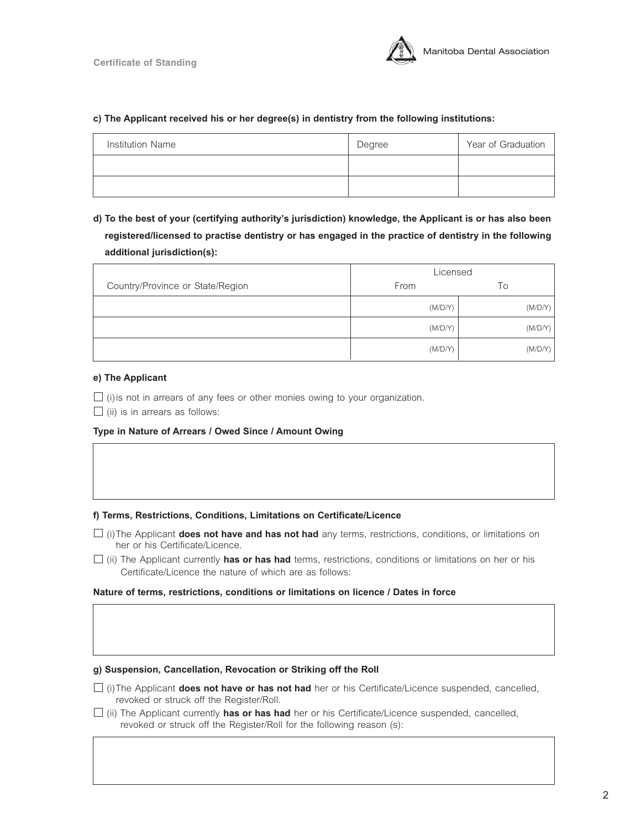

# **c) The Applicant received his or her degree(s) in dentistry from the following institutions:**

| Institution Name | Degree | Year of Graduation |
|------------------|--------|--------------------|
|                  |        |                    |
|                  |        |                    |

**d) To the best of your (certifying authority's jurisdiction) knowledge, the Applicant is or has also been registered/licensed to practise dentistry or has engaged in the practice of dentistry in the following additional jurisdiction(s):** 

|                                  | Licensed |         |
|----------------------------------|----------|---------|
| Country/Province or State/Region | From     | Τo      |
|                                  | (M/D/Y)  | (M/D/Y) |
|                                  | (M/D/Y)  | (M/D/Y) |
|                                  | (M/D/Y)  | (M/D/Y) |

## **e) The Applicant**

*(i)is not in arrears of any fees or other monies owing to your organization.*

*(ii) is in arrears as follows:*

# **Type in Nature of Arrears / Owed Since / Amount Owing**

#### **f) Terms, Restrictions, Conditions, Limitations on Certificate/Licence**

- *(i)The Applicant* **does not have and has not had** *any terms, restrictions, conditions, or limitations on her or his Certificate/Licence.*
- *(ii) The Applicant currently* **has or has had** *terms, restrictions, conditions or limitations on her or his Certificate/Licence the nature of which are as follows:*

#### **Nature of terms, restrictions, conditions or limitations on licence / Dates in force**

#### **g) Suspension, Cancellation, Revocation or Striking off the Roll**

- $\Box$  (i)The Applicant **does not have or has not had** her or his Certificate/Licence suspended, cancelled, *revoked or struck off the Register/Roll.*
- *(ii) The Applicant currently* **has or has had** *her or his Certificate/Licence suspended, cancelled, revoked or struck off the Register/Roll for the following reason (s):*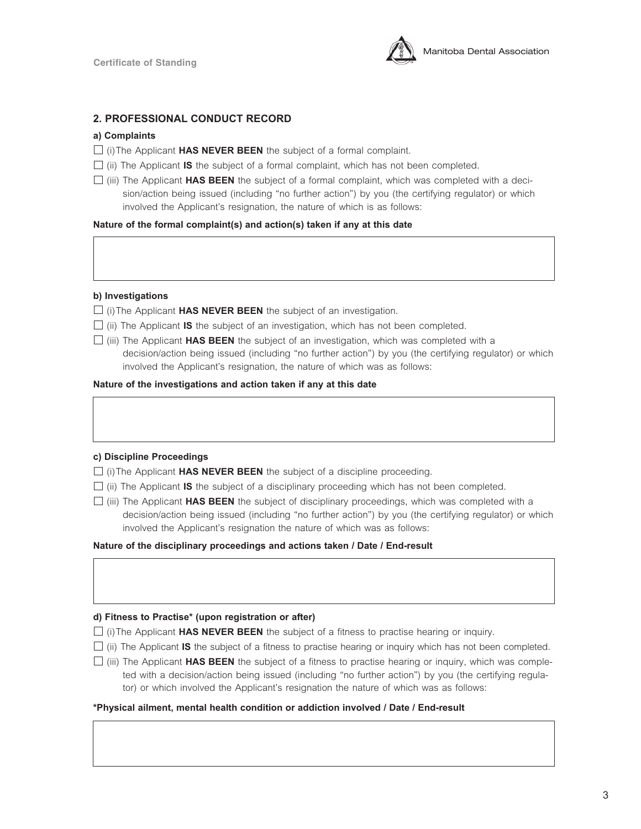

# **2. PROFESSIONAL CONDUCT RECORD**

## **a) Complaints**

- *(i)The Applicant* **HAS NEVER BEEN** *the subject of a formal complaint.*
- $\Box$  (ii) The Applicant **IS** the subject of a formal complaint, which has not been completed.
- *(iii) The Applicant* **HAS BEEN** *the subject of a formal complaint, which was completed with a decision/action being issued (including "no further action") by you (the certifying regulator) or which involved the Applicant's resignation, the nature of which is as follows:*

**Nature of the formal complaint(s) and action(s) taken if any at this date**

#### **b) Investigations**

*(i)The Applicant* **HAS NEVER BEEN** *the subject of an investigation.* 

- $\Box$  (ii) The Applicant **IS** the subject of an investigation, which has not been completed.
- *(iii) The Applicant* **HAS BEEN** *the subject of an investigation, which was completed with a decision/action being issued (including "no further action") by you (the certifying regulator) or which involved the Applicant's resignation, the nature of which was as follows:*

#### **Nature of the investigations and action taken if any at this date**

#### **c) Discipline Proceedings**

- *(i)The Applicant* **HAS NEVER BEEN** *the subject of a discipline proceeding.*
- $\Box$  (ii) The Applicant **IS** the subject of a disciplinary proceeding which has not been completed.
- *(iii) The Applicant* **HAS BEEN** *the subject of disciplinary proceedings, which was completed with a decision/action being issued (including "no further action") by you (the certifying regulator) or which involved the Applicant's resignation the nature of which was as follows:*

**Nature of the disciplinary proceedings and actions taken / Date / End-result**

#### **d) Fitness to Practise\* (upon registration or after)**

- *(i)The Applicant* **HAS NEVER BEEN** *the subject of a fitness to practise hearing or inquiry.*
- *(ii) The Applicant* **IS** *the subject of a fitness to practise hearing or inquiry which has not been completed.*
- *(iii) The Applicant* **HAS BEEN** *the subject of a fitness to practise hearing or inquiry, which was completed with a decision/action being issued (including "no further action") by you (the certifying regulator)* or which involved the Applicant's resignation the nature of which was as follows:

#### **\*Physical ailment, mental health condition or addiction involved / Date / End-result**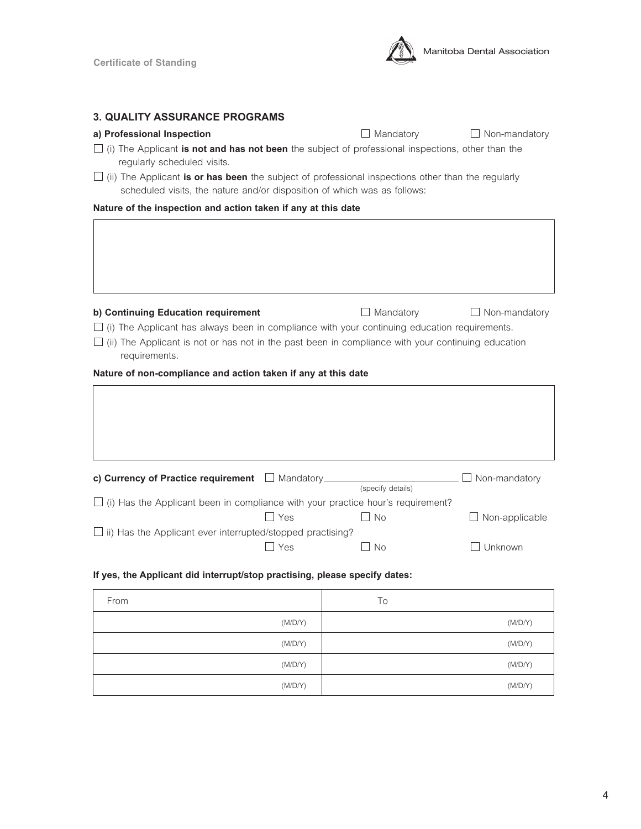

# **3. QUALITY ASSURANCE PROGRAMS**

## **a) Professional Inspection** *Mandatory**D* **Mandatory** *D* **Non-mandatory**

- *(i) The Applicant* **is not and has not been** *the subject of professional inspections, other than the regularly scheduled visits.*
- *(ii) The Applicant* **is or has been** *the subject of professional inspections other than the regularly scheduled visits, the nature and/or disposition of which was as follows:*

**Nature of the inspection and action taken if any at this date**

| b) Continuing Education requirement<br>(i) The Applicant has always been in compliance with your continuing education requirements.<br>(ii) The Applicant is not or has not in the past been in compliance with your continuing education<br>requirements. |            | Mandatory         | $\Box$ Non-mandatory |
|------------------------------------------------------------------------------------------------------------------------------------------------------------------------------------------------------------------------------------------------------------|------------|-------------------|----------------------|
| Nature of non-compliance and action taken if any at this date                                                                                                                                                                                              |            |                   |                      |
|                                                                                                                                                                                                                                                            |            |                   |                      |
| c) Currency of Practice requirement Mandatory                                                                                                                                                                                                              |            | (specify details) | Non-mandatory        |
| $\Box$ (i) Has the Applicant been in compliance with your practice hour's requirement?                                                                                                                                                                     |            |                   |                      |
|                                                                                                                                                                                                                                                            | $\Box$ Yes | <b>No</b>         | Non-applicable       |
| ii) Has the Applicant ever interrupted/stopped practising?                                                                                                                                                                                                 |            |                   |                      |
|                                                                                                                                                                                                                                                            | Yes        | No.               | Unknown              |

# **If yes, the Applicant did interrupt/stop practising, please specify dates:**

| From    | To      |
|---------|---------|
| (M/D/Y) | (M/D/Y) |
| (M/D/Y) | (M/D/Y) |
| (M/D/Y) | (M/D/Y) |
| (M/D/Y) | (M/D/Y) |